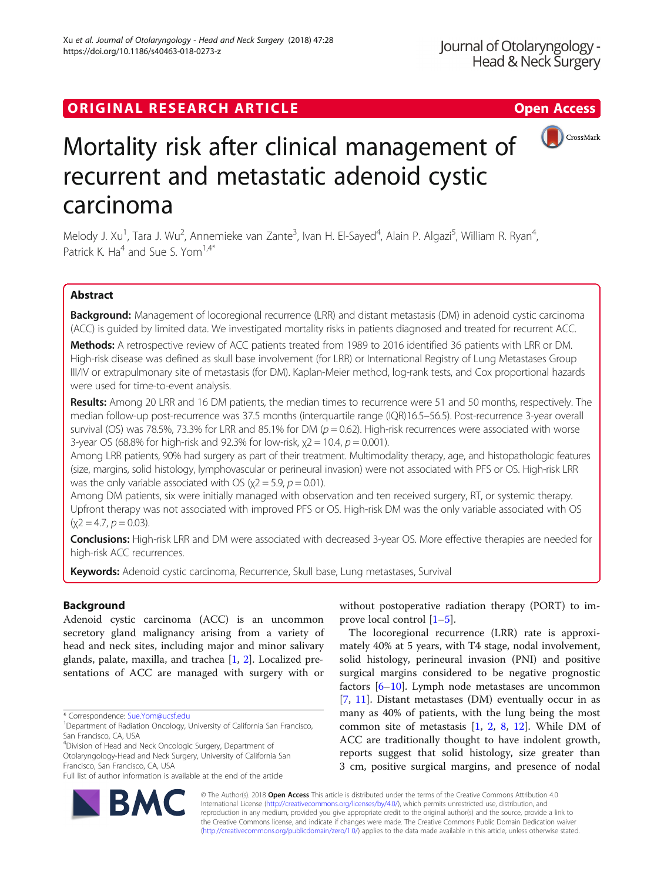# ORIGINAL RESEARCH ARTICLE **Solution Contract Contract Contract Contract Contract Contract Contract Contract Contract Contract Contract Contract Contract Contract Contract Contract Contract Contract Contract Contract Contra**



# Mortality risk after clinical management of recurrent and metastatic adenoid cystic carcinoma

Melody J. Xu<sup>1</sup>, Tara J. Wu<sup>2</sup>, Annemieke van Zante<sup>3</sup>, Ivan H. El-Sayed<sup>4</sup>, Alain P. Algazi<sup>5</sup>, William R. Ryan<sup>4</sup> , Patrick K. Ha<sup>4</sup> and Sue S. Yom<sup>1,4\*</sup>

# Abstract

Background: Management of locoregional recurrence (LRR) and distant metastasis (DM) in adenoid cystic carcinoma (ACC) is guided by limited data. We investigated mortality risks in patients diagnosed and treated for recurrent ACC.

Methods: A retrospective review of ACC patients treated from 1989 to 2016 identified 36 patients with LRR or DM. High-risk disease was defined as skull base involvement (for LRR) or International Registry of Lung Metastases Group III/IV or extrapulmonary site of metastasis (for DM). Kaplan-Meier method, log-rank tests, and Cox proportional hazards were used for time-to-event analysis.

Results: Among 20 LRR and 16 DM patients, the median times to recurrence were 51 and 50 months, respectively. The median follow-up post-recurrence was 37.5 months (interquartile range (IQR)16.5–56.5). Post-recurrence 3-year overall survival (OS) was 78.5%, 73.3% for LRR and 85.1% for DM ( $p = 0.62$ ). High-risk recurrences were associated with worse 3-year OS (68.8% for high-risk and 92.3% for low-risk,  $\chi$ 2 = 10.4, p = 0.001).

Among LRR patients, 90% had surgery as part of their treatment. Multimodality therapy, age, and histopathologic features (size, margins, solid histology, lymphovascular or perineural invasion) were not associated with PFS or OS. High-risk LRR was the only variable associated with OS ( $\chi$ 2 = 5.9, p = 0.01).

Among DM patients, six were initially managed with observation and ten received surgery, RT, or systemic therapy. Upfront therapy was not associated with improved PFS or OS. High-risk DM was the only variable associated with OS  $(x2 = 4.7, p = 0.03)$ .

Conclusions: High-risk LRR and DM were associated with decreased 3-year OS. More effective therapies are needed for high-risk ACC recurrences.

Keywords: Adenoid cystic carcinoma, Recurrence, Skull base, Lung metastases, Survival

# Background

Adenoid cystic carcinoma (ACC) is an uncommon secretory gland malignancy arising from a variety of head and neck sites, including major and minor salivary glands, palate, maxilla, and trachea [[1,](#page-6-0) [2](#page-6-0)]. Localized presentations of ACC are managed with surgery with or

4 Division of Head and Neck Oncologic Surgery, Department of

Otolaryngology-Head and Neck Surgery, University of California San Francisco, San Francisco, CA, USA Full list of author information is available at the end of the article

without postoperative radiation therapy (PORT) to improve local control [\[1](#page-6-0)–[5\]](#page-6-0).

The locoregional recurrence (LRR) rate is approximately 40% at 5 years, with T4 stage, nodal involvement, solid histology, perineural invasion (PNI) and positive surgical margins considered to be negative prognostic factors [[6](#page-6-0)–[10](#page-6-0)]. Lymph node metastases are uncommon [[7,](#page-6-0) [11\]](#page-6-0). Distant metastases (DM) eventually occur in as many as 40% of patients, with the lung being the most common site of metastasis [\[1](#page-6-0), [2,](#page-6-0) [8](#page-6-0), [12\]](#page-6-0). While DM of ACC are traditionally thought to have indolent growth, reports suggest that solid histology, size greater than 3 cm, positive surgical margins, and presence of nodal



© The Author(s). 2018 Open Access This article is distributed under the terms of the Creative Commons Attribution 4.0 International License [\(http://creativecommons.org/licenses/by/4.0/](http://creativecommons.org/licenses/by/4.0/)), which permits unrestricted use, distribution, and reproduction in any medium, provided you give appropriate credit to the original author(s) and the source, provide a link to the Creative Commons license, and indicate if changes were made. The Creative Commons Public Domain Dedication waiver [\(http://creativecommons.org/publicdomain/zero/1.0/](http://creativecommons.org/publicdomain/zero/1.0/)) applies to the data made available in this article, unless otherwise stated.

<sup>\*</sup> Correspondence: [Sue.Yom@ucsf.edu](mailto:Sue.Yom@ucsf.edu) <sup>1</sup>

<sup>&</sup>lt;sup>1</sup>Department of Radiation Oncology, University of California San Francisco, San Francisco, CA, USA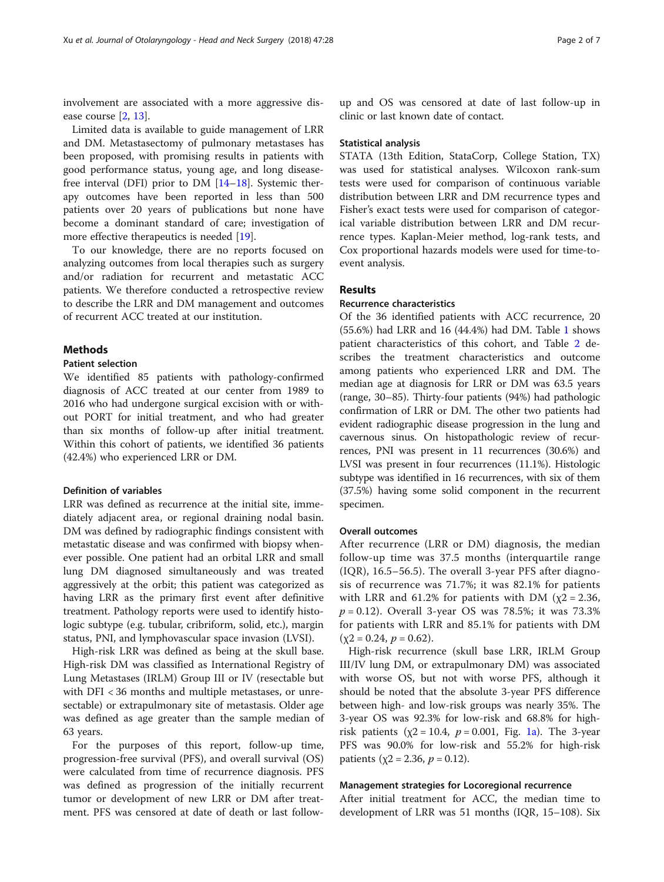involvement are associated with a more aggressive disease course [[2,](#page-6-0) [13](#page-6-0)].

Limited data is available to guide management of LRR and DM. Metastasectomy of pulmonary metastases has been proposed, with promising results in patients with good performance status, young age, and long diseasefree interval (DFI) prior to DM [\[14](#page-6-0)–[18\]](#page-6-0). Systemic therapy outcomes have been reported in less than 500 patients over 20 years of publications but none have become a dominant standard of care; investigation of more effective therapeutics is needed [[19\]](#page-6-0).

To our knowledge, there are no reports focused on analyzing outcomes from local therapies such as surgery and/or radiation for recurrent and metastatic ACC patients. We therefore conducted a retrospective review to describe the LRR and DM management and outcomes of recurrent ACC treated at our institution.

# **Methods**

# Patient selection

We identified 85 patients with pathology-confirmed diagnosis of ACC treated at our center from 1989 to 2016 who had undergone surgical excision with or without PORT for initial treatment, and who had greater than six months of follow-up after initial treatment. Within this cohort of patients, we identified 36 patients (42.4%) who experienced LRR or DM.

### Definition of variables

LRR was defined as recurrence at the initial site, immediately adjacent area, or regional draining nodal basin. DM was defined by radiographic findings consistent with metastatic disease and was confirmed with biopsy whenever possible. One patient had an orbital LRR and small lung DM diagnosed simultaneously and was treated aggressively at the orbit; this patient was categorized as having LRR as the primary first event after definitive treatment. Pathology reports were used to identify histologic subtype (e.g. tubular, cribriform, solid, etc.), margin status, PNI, and lymphovascular space invasion (LVSI).

High-risk LRR was defined as being at the skull base. High-risk DM was classified as International Registry of Lung Metastases (IRLM) Group III or IV (resectable but with DFI < 36 months and multiple metastases, or unresectable) or extrapulmonary site of metastasis. Older age was defined as age greater than the sample median of 63 years.

For the purposes of this report, follow-up time, progression-free survival (PFS), and overall survival (OS) were calculated from time of recurrence diagnosis. PFS was defined as progression of the initially recurrent tumor or development of new LRR or DM after treatment. PFS was censored at date of death or last follow-

up and OS was censored at date of last follow-up in clinic or last known date of contact.

### Statistical analysis

STATA (13th Edition, StataCorp, College Station, TX) was used for statistical analyses. Wilcoxon rank-sum tests were used for comparison of continuous variable distribution between LRR and DM recurrence types and Fisher's exact tests were used for comparison of categorical variable distribution between LRR and DM recurrence types. Kaplan-Meier method, log-rank tests, and Cox proportional hazards models were used for time-toevent analysis.

# Results

# Recurrence characteristics

Of the 36 identified patients with ACC recurrence, 20 (55.6%) had LRR and 16 (44.4%) had DM. Table [1](#page-2-0) shows patient characteristics of this cohort, and Table [2](#page-2-0) describes the treatment characteristics and outcome among patients who experienced LRR and DM. The median age at diagnosis for LRR or DM was 63.5 years (range, 30–85). Thirty-four patients (94%) had pathologic confirmation of LRR or DM. The other two patients had evident radiographic disease progression in the lung and cavernous sinus. On histopathologic review of recurrences, PNI was present in 11 recurrences (30.6%) and LVSI was present in four recurrences (11.1%). Histologic subtype was identified in 16 recurrences, with six of them (37.5%) having some solid component in the recurrent specimen.

# Overall outcomes

After recurrence (LRR or DM) diagnosis, the median follow-up time was 37.5 months (interquartile range (IQR), 16.5–56.5). The overall 3-year PFS after diagnosis of recurrence was 71.7%; it was 82.1% for patients with LRR and 61.2% for patients with DM ( $\chi$ 2 = 2.36,  $p = 0.12$ ). Overall 3-year OS was 78.5%; it was 73.3% for patients with LRR and 85.1% for patients with DM  $(\chi 2 = 0.24, p = 0.62).$ 

High-risk recurrence (skull base LRR, IRLM Group III/IV lung DM, or extrapulmonary DM) was associated with worse OS, but not with worse PFS, although it should be noted that the absolute 3-year PFS difference between high- and low-risk groups was nearly 35%. The 3-year OS was 92.3% for low-risk and 68.8% for highrisk patients ( $χ2 = 10.4$ ,  $p = 0.001$ , Fig. [1a](#page-3-0)). The 3-year PFS was 90.0% for low-risk and 55.2% for high-risk patients ( $χ2 = 2.36, p = 0.12$ ).

# Management strategies for Locoregional recurrence

After initial treatment for ACC, the median time to development of LRR was 51 months (IQR, 15–108). Six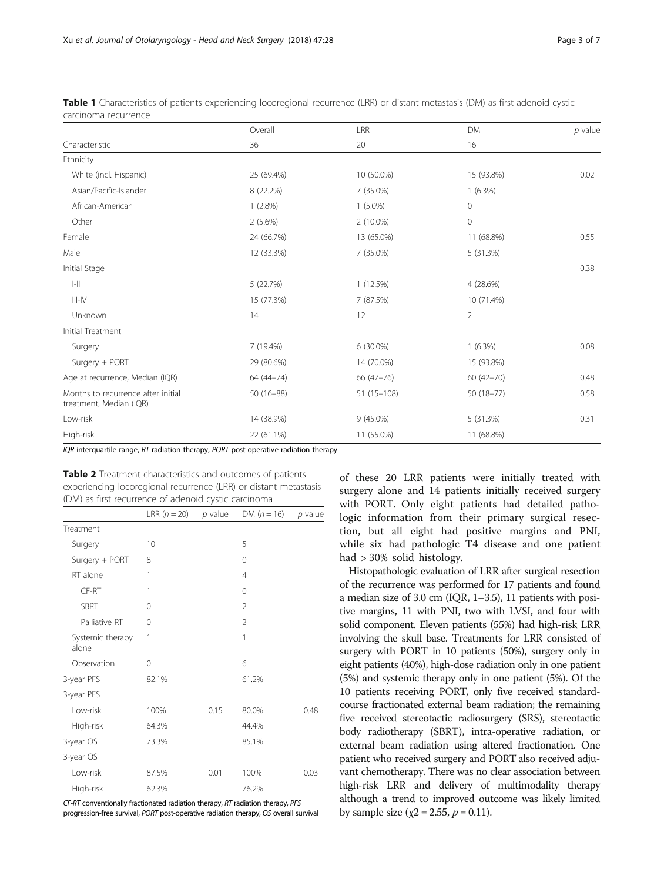| Characteristic                                                | Overall<br>36 | LRR<br>20    | <b>DM</b><br>16 | $p$ value |
|---------------------------------------------------------------|---------------|--------------|-----------------|-----------|
|                                                               |               |              |                 |           |
| White (incl. Hispanic)                                        | 25 (69.4%)    | 10 (50.0%)   | 15 (93.8%)      | 0.02      |
| Asian/Pacific-Islander                                        | 8 (22.2%)     | 7 (35.0%)    | $1(6.3\%)$      |           |
| African-American                                              | $1(2.8\%)$    | $1(5.0\%)$   | $\mathbf 0$     |           |
| Other                                                         | $2(5.6\%)$    | 2 (10.0%)    | $\mathbf 0$     |           |
| Female                                                        | 24 (66.7%)    | 13 (65.0%)   | 11 (68.8%)      | 0.55      |
| Male                                                          | 12 (33.3%)    | 7 (35.0%)    | 5 (31.3%)       |           |
| Initial Stage                                                 |               |              |                 | 0.38      |
| $ -  $                                                        | 5(22.7%)      | 1 (12.5%)    | 4(28.6%)        |           |
| $III-IV$                                                      | 15 (77.3%)    | 7 (87.5%)    | 10 (71.4%)      |           |
| Unknown                                                       | 14            | 12           | $\overline{2}$  |           |
| Initial Treatment                                             |               |              |                 |           |
| Surgery                                                       | 7 (19.4%)     | 6 (30.0%)    | $1(6.3\%)$      | 0.08      |
| Surgery + PORT                                                | 29 (80.6%)    | 14 (70.0%)   | 15 (93.8%)      |           |
| Age at recurrence, Median (IQR)                               | 64 (44-74)    | 66 (47-76)   | $60(42 - 70)$   | 0.48      |
| Months to recurrence after initial<br>treatment, Median (IQR) | $50(16-88)$   | $51(15-108)$ | $50(18-77)$     | 0.58      |
| Low-risk                                                      | 14 (38.9%)    | 9 (45.0%)    | 5 (31.3%)       | 0.31      |
| High-risk                                                     | 22 (61.1%)    | 11 (55.0%)   | 11 (68.8%)      |           |

<span id="page-2-0"></span>Table 1 Characteristics of patients experiencing locoregional recurrence (LRR) or distant metastasis (DM) as first adenoid cystic carcinoma recurrence

IQR interquartile range, RT radiation therapy, PORT post-operative radiation therapy

Table 2 Treatment characteristics and outcomes of patients experiencing locoregional recurrence (LRR) or distant metastasis (DM) as first recurrence of adenoid cystic carcinoma

|                           | $LRR (n = 20)$ | $p$ value | DM $(n = 16)$  | $p$ value |
|---------------------------|----------------|-----------|----------------|-----------|
| Treatment                 |                |           |                |           |
| Surgery                   | 10             |           | 5              |           |
| Surgery + PORT            | 8              |           | 0              |           |
| RT alone                  | 1              |           | 4              |           |
| CF-RT                     | 1              |           | 0              |           |
| <b>SBRT</b>               | $\Omega$       |           | 2              |           |
| Palliative RT             | 0              |           | $\overline{2}$ |           |
| Systemic therapy<br>alone | 1              |           | 1              |           |
| Observation               | $\Omega$       |           | 6              |           |
| 3-year PFS                | 82.1%          |           | 61.2%          |           |
| 3-year PFS                |                |           |                |           |
| Low-risk                  | 100%           | 0.15      | 80.0%          | 0.48      |
| High-risk                 | 64.3%          |           | 44.4%          |           |
| 3-year OS                 | 73.3%          |           | 85.1%          |           |
| 3-year OS                 |                |           |                |           |
| Low-risk                  | 87.5%          | 0.01      | 100%           | 0.03      |
| High-risk                 | 62.3%          |           | 76.2%          |           |

CF-RT conventionally fractionated radiation therapy, RT radiation therapy, PFS progression-free survival, PORT post-operative radiation therapy, OS overall survival of these 20 LRR patients were initially treated with surgery alone and 14 patients initially received surgery with PORT. Only eight patients had detailed pathologic information from their primary surgical resection, but all eight had positive margins and PNI, while six had pathologic T4 disease and one patient had > 30% solid histology.

Histopathologic evaluation of LRR after surgical resection of the recurrence was performed for 17 patients and found a median size of 3.0 cm (IQR, 1–3.5), 11 patients with positive margins, 11 with PNI, two with LVSI, and four with solid component. Eleven patients (55%) had high-risk LRR involving the skull base. Treatments for LRR consisted of surgery with PORT in 10 patients (50%), surgery only in eight patients (40%), high-dose radiation only in one patient (5%) and systemic therapy only in one patient (5%). Of the 10 patients receiving PORT, only five received standardcourse fractionated external beam radiation; the remaining five received stereotactic radiosurgery (SRS), stereotactic body radiotherapy (SBRT), intra-operative radiation, or external beam radiation using altered fractionation. One patient who received surgery and PORT also received adjuvant chemotherapy. There was no clear association between high-risk LRR and delivery of multimodality therapy although a trend to improved outcome was likely limited by sample size ( $χ2 = 2.55, p = 0.11$ ).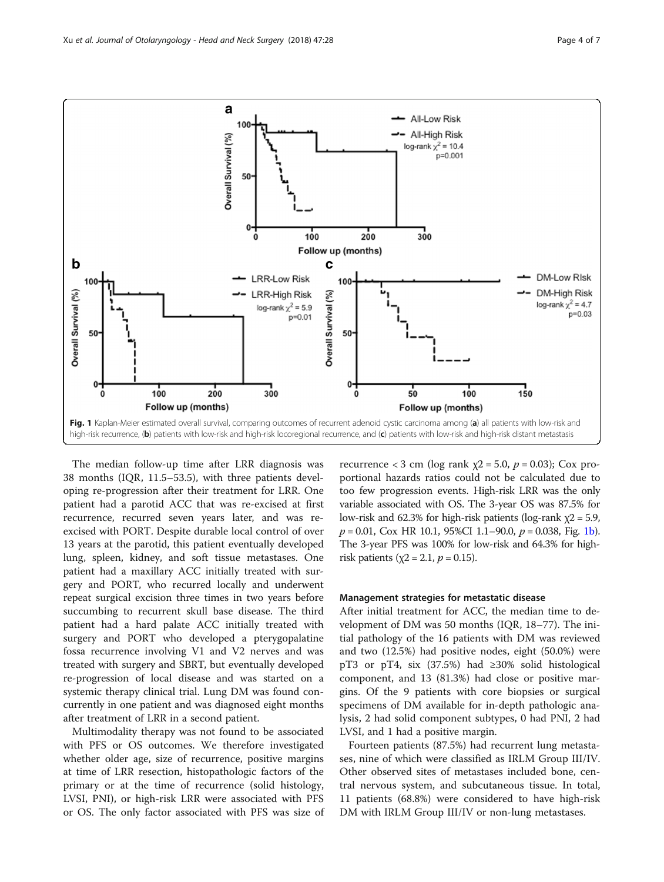<span id="page-3-0"></span>

The median follow-up time after LRR diagnosis was 38 months (IQR, 11.5–53.5), with three patients developing re-progression after their treatment for LRR. One patient had a parotid ACC that was re-excised at first recurrence, recurred seven years later, and was reexcised with PORT. Despite durable local control of over 13 years at the parotid, this patient eventually developed lung, spleen, kidney, and soft tissue metastases. One patient had a maxillary ACC initially treated with surgery and PORT, who recurred locally and underwent repeat surgical excision three times in two years before succumbing to recurrent skull base disease. The third patient had a hard palate ACC initially treated with surgery and PORT who developed a pterygopalatine fossa recurrence involving V1 and V2 nerves and was treated with surgery and SBRT, but eventually developed re-progression of local disease and was started on a systemic therapy clinical trial. Lung DM was found concurrently in one patient and was diagnosed eight months after treatment of LRR in a second patient.

Multimodality therapy was not found to be associated with PFS or OS outcomes. We therefore investigated whether older age, size of recurrence, positive margins at time of LRR resection, histopathologic factors of the primary or at the time of recurrence (solid histology, LVSI, PNI), or high-risk LRR were associated with PFS or OS. The only factor associated with PFS was size of

recurrence  $<$  3 cm (log rank  $x$ 2 = 5.0,  $p$  = 0.03); Cox proportional hazards ratios could not be calculated due to too few progression events. High-risk LRR was the only variable associated with OS. The 3-year OS was 87.5% for low-risk and 62.3% for high-risk patients (log-rank  $\chi$ 2 = 5.9,  $p = 0.01$ , Cox HR 10.1, 95%CI 1.1–90.0,  $p = 0.038$ , Fig. 1b). The 3-year PFS was 100% for low-risk and 64.3% for highrisk patients ( $\chi$ 2 = 2.1,  $p$  = 0.15).

# Management strategies for metastatic disease

After initial treatment for ACC, the median time to development of DM was 50 months (IQR, 18–77). The initial pathology of the 16 patients with DM was reviewed and two (12.5%) had positive nodes, eight (50.0%) were pT3 or pT4, six (37.5%) had ≥30% solid histological component, and 13 (81.3%) had close or positive margins. Of the 9 patients with core biopsies or surgical specimens of DM available for in-depth pathologic analysis, 2 had solid component subtypes, 0 had PNI, 2 had LVSI, and 1 had a positive margin.

Fourteen patients (87.5%) had recurrent lung metastases, nine of which were classified as IRLM Group III/IV. Other observed sites of metastases included bone, central nervous system, and subcutaneous tissue. In total, 11 patients (68.8%) were considered to have high-risk DM with IRLM Group III/IV or non-lung metastases.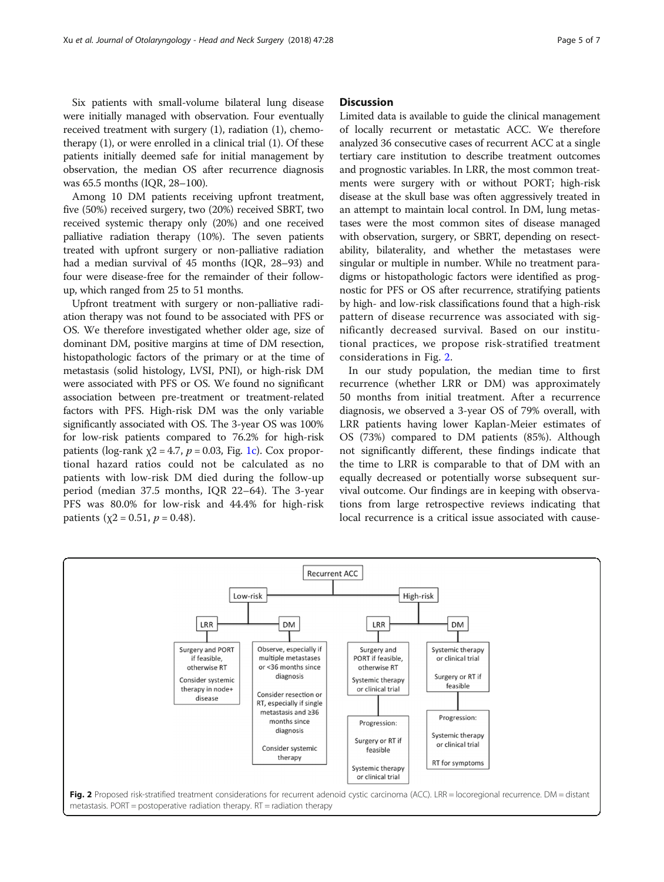<span id="page-4-0"></span>Six patients with small-volume bilateral lung disease were initially managed with observation. Four eventually received treatment with surgery (1), radiation (1), chemotherapy (1), or were enrolled in a clinical trial (1). Of these patients initially deemed safe for initial management by observation, the median OS after recurrence diagnosis was 65.5 months (IQR, 28–100).

Among 10 DM patients receiving upfront treatment, five (50%) received surgery, two (20%) received SBRT, two received systemic therapy only (20%) and one received palliative radiation therapy (10%). The seven patients treated with upfront surgery or non-palliative radiation had a median survival of 45 months (IQR, 28–93) and four were disease-free for the remainder of their followup, which ranged from 25 to 51 months.

Upfront treatment with surgery or non-palliative radiation therapy was not found to be associated with PFS or OS. We therefore investigated whether older age, size of dominant DM, positive margins at time of DM resection, histopathologic factors of the primary or at the time of metastasis (solid histology, LVSI, PNI), or high-risk DM were associated with PFS or OS. We found no significant association between pre-treatment or treatment-related factors with PFS. High-risk DM was the only variable significantly associated with OS. The 3-year OS was 100% for low-risk patients compared to 76.2% for high-risk patients (log-rank  $\chi$ 2 = 4.7,  $p$  = 0.03, Fig. [1c\)](#page-3-0). Cox proportional hazard ratios could not be calculated as no patients with low-risk DM died during the follow-up period (median 37.5 months, IQR 22–64). The 3-year PFS was 80.0% for low-risk and 44.4% for high-risk patients ( $\chi$ 2 = 0.51,  $p$  = 0.48).

# **Discussion**

Limited data is available to guide the clinical management of locally recurrent or metastatic ACC. We therefore analyzed 36 consecutive cases of recurrent ACC at a single tertiary care institution to describe treatment outcomes and prognostic variables. In LRR, the most common treatments were surgery with or without PORT; high-risk disease at the skull base was often aggressively treated in an attempt to maintain local control. In DM, lung metastases were the most common sites of disease managed with observation, surgery, or SBRT, depending on resectability, bilaterality, and whether the metastases were singular or multiple in number. While no treatment paradigms or histopathologic factors were identified as prognostic for PFS or OS after recurrence, stratifying patients by high- and low-risk classifications found that a high-risk pattern of disease recurrence was associated with significantly decreased survival. Based on our institutional practices, we propose risk-stratified treatment considerations in Fig. 2.

In our study population, the median time to first recurrence (whether LRR or DM) was approximately 50 months from initial treatment. After a recurrence diagnosis, we observed a 3-year OS of 79% overall, with LRR patients having lower Kaplan-Meier estimates of OS (73%) compared to DM patients (85%). Although not significantly different, these findings indicate that the time to LRR is comparable to that of DM with an equally decreased or potentially worse subsequent survival outcome. Our findings are in keeping with observations from large retrospective reviews indicating that local recurrence is a critical issue associated with cause-

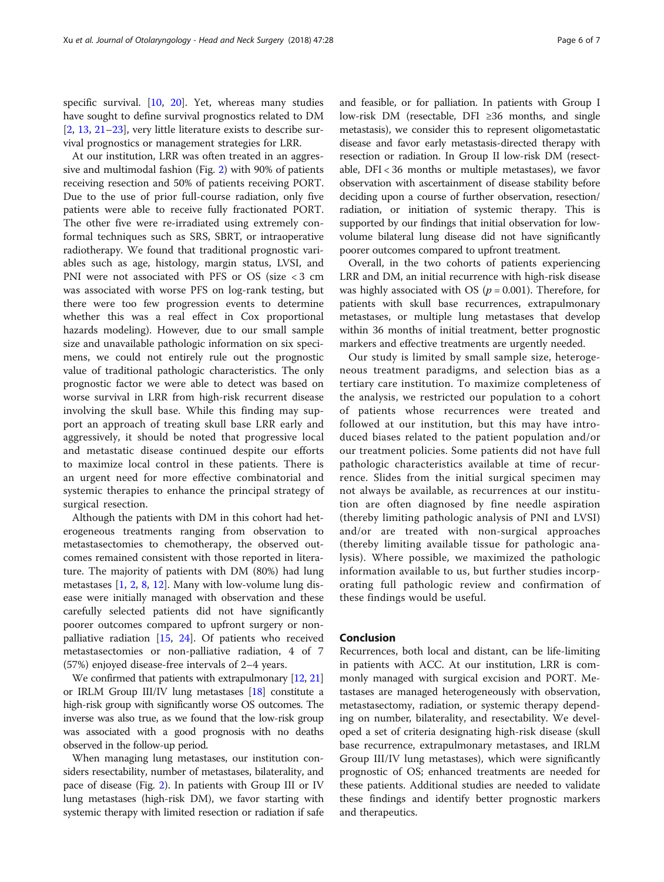specific survival. [\[10](#page-6-0), [20\]](#page-6-0). Yet, whereas many studies have sought to define survival prognostics related to DM [[2,](#page-6-0) [13,](#page-6-0) [21](#page-6-0)–[23\]](#page-6-0), very little literature exists to describe survival prognostics or management strategies for LRR.

At our institution, LRR was often treated in an aggressive and multimodal fashion (Fig. [2\)](#page-4-0) with 90% of patients receiving resection and 50% of patients receiving PORT. Due to the use of prior full-course radiation, only five patients were able to receive fully fractionated PORT. The other five were re-irradiated using extremely conformal techniques such as SRS, SBRT, or intraoperative radiotherapy. We found that traditional prognostic variables such as age, histology, margin status, LVSI, and PNI were not associated with PFS or OS (size < 3 cm was associated with worse PFS on log-rank testing, but there were too few progression events to determine whether this was a real effect in Cox proportional hazards modeling). However, due to our small sample size and unavailable pathologic information on six specimens, we could not entirely rule out the prognostic value of traditional pathologic characteristics. The only prognostic factor we were able to detect was based on worse survival in LRR from high-risk recurrent disease involving the skull base. While this finding may support an approach of treating skull base LRR early and aggressively, it should be noted that progressive local and metastatic disease continued despite our efforts to maximize local control in these patients. There is an urgent need for more effective combinatorial and systemic therapies to enhance the principal strategy of surgical resection.

Although the patients with DM in this cohort had heterogeneous treatments ranging from observation to metastasectomies to chemotherapy, the observed outcomes remained consistent with those reported in literature. The majority of patients with DM (80%) had lung metastases [[1,](#page-6-0) [2,](#page-6-0) [8,](#page-6-0) [12](#page-6-0)]. Many with low-volume lung disease were initially managed with observation and these carefully selected patients did not have significantly poorer outcomes compared to upfront surgery or nonpalliative radiation [\[15](#page-6-0), [24](#page-6-0)]. Of patients who received metastasectomies or non-palliative radiation, 4 of 7 (57%) enjoyed disease-free intervals of 2–4 years.

We confirmed that patients with extrapulmonary [[12](#page-6-0), [21](#page-6-0)] or IRLM Group III/IV lung metastases [\[18](#page-6-0)] constitute a high-risk group with significantly worse OS outcomes. The inverse was also true, as we found that the low-risk group was associated with a good prognosis with no deaths observed in the follow-up period.

When managing lung metastases, our institution considers resectability, number of metastases, bilaterality, and pace of disease (Fig. [2\)](#page-4-0). In patients with Group III or IV lung metastases (high-risk DM), we favor starting with systemic therapy with limited resection or radiation if safe and feasible, or for palliation. In patients with Group I low-risk DM (resectable, DFI ≥36 months, and single metastasis), we consider this to represent oligometastatic disease and favor early metastasis-directed therapy with resection or radiation. In Group II low-risk DM (resectable, DFI < 36 months or multiple metastases), we favor observation with ascertainment of disease stability before deciding upon a course of further observation, resection/ radiation, or initiation of systemic therapy. This is supported by our findings that initial observation for lowvolume bilateral lung disease did not have significantly poorer outcomes compared to upfront treatment.

Overall, in the two cohorts of patients experiencing LRR and DM, an initial recurrence with high-risk disease was highly associated with OS ( $p = 0.001$ ). Therefore, for patients with skull base recurrences, extrapulmonary metastases, or multiple lung metastases that develop within 36 months of initial treatment, better prognostic markers and effective treatments are urgently needed.

Our study is limited by small sample size, heterogeneous treatment paradigms, and selection bias as a tertiary care institution. To maximize completeness of the analysis, we restricted our population to a cohort of patients whose recurrences were treated and followed at our institution, but this may have introduced biases related to the patient population and/or our treatment policies. Some patients did not have full pathologic characteristics available at time of recurrence. Slides from the initial surgical specimen may not always be available, as recurrences at our institution are often diagnosed by fine needle aspiration (thereby limiting pathologic analysis of PNI and LVSI) and/or are treated with non-surgical approaches (thereby limiting available tissue for pathologic analysis). Where possible, we maximized the pathologic information available to us, but further studies incorporating full pathologic review and confirmation of these findings would be useful.

# Conclusion

Recurrences, both local and distant, can be life-limiting in patients with ACC. At our institution, LRR is commonly managed with surgical excision and PORT. Metastases are managed heterogeneously with observation, metastasectomy, radiation, or systemic therapy depending on number, bilaterality, and resectability. We developed a set of criteria designating high-risk disease (skull base recurrence, extrapulmonary metastases, and IRLM Group III/IV lung metastases), which were significantly prognostic of OS; enhanced treatments are needed for these patients. Additional studies are needed to validate these findings and identify better prognostic markers and therapeutics.